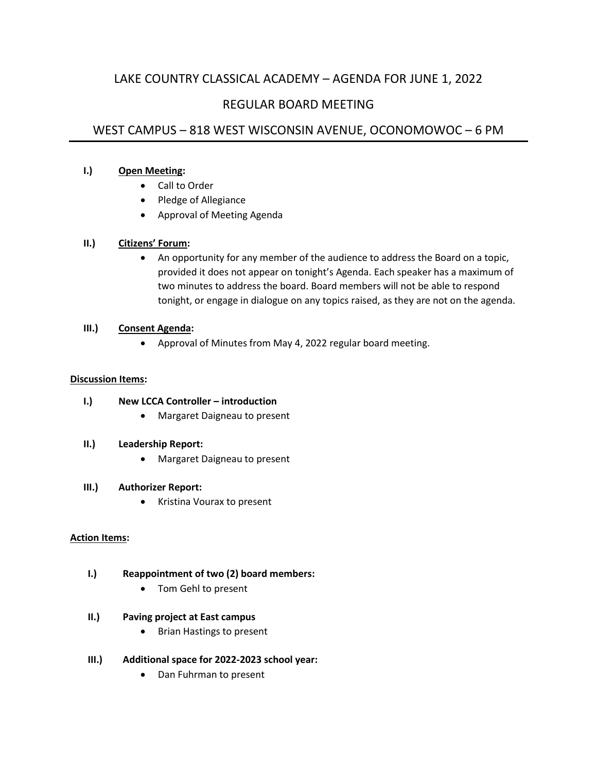# LAKE COUNTRY CLASSICAL ACADEMY – AGENDA FOR JUNE 1, 2022

# REGULAR BOARD MEETING

# WEST CAMPUS – 818 WEST WISCONSIN AVENUE, OCONOMOWOC – 6 PM

### **I.) Open Meeting:**

- Call to Order
- Pledge of Allegiance
- Approval of Meeting Agenda

## **II.) Citizens' Forum:**

• An opportunity for any member of the audience to address the Board on a topic, provided it does not appear on tonight's Agenda. Each speaker has a maximum of two minutes to address the board. Board members will not be able to respond tonight, or engage in dialogue on any topics raised, as they are not on the agenda.

## **III.) Consent Agenda:**

• Approval of Minutes from May 4, 2022 regular board meeting.

#### **Discussion Items:**

## **I.) New LCCA Controller – introduction**

• Margaret Daigneau to present

#### **II.) Leadership Report:**

• Margaret Daigneau to present

#### **III.) Authorizer Report:**

• Kristina Vourax to present

#### **Action Items:**

## **I.) Reappointment of two (2) board members:**

• Tom Gehl to present

### **II.) Paving project at East campus**

- Brian Hastings to present
- **III.) Additional space for 2022-2023 school year:**
	- Dan Fuhrman to present